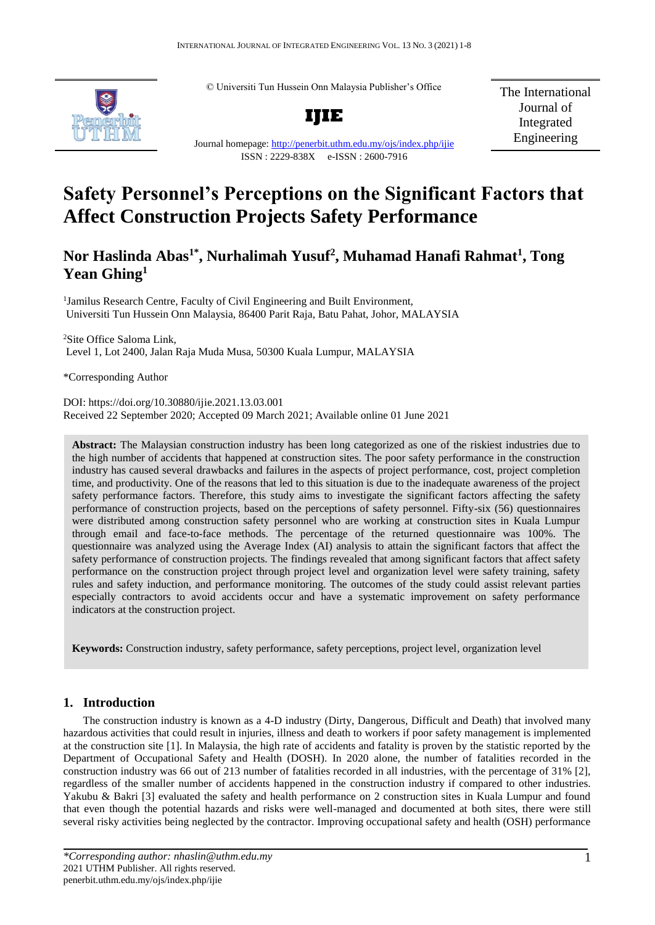© Universiti Tun Hussein Onn Malaysia Publisher's Office



**IJIE**

The International Journal of Integrated Engineering

#### Journal homepage:<http://penerbit.uthm.edu.my/ojs/index.php/ijie> ISSN : 2229-838X e-ISSN : 2600-7916

# **Safety Personnel's Perceptions on the Significant Factors that Affect Construction Projects Safety Performance**

## **Nor Haslinda Abas1\* , Nurhalimah Yusuf<sup>2</sup> , Muhamad Hanafi Rahmat<sup>1</sup> , Tong Yean Ghing<sup>1</sup>**

<sup>1</sup>Jamilus Research Centre, Faculty of Civil Engineering and Built Environment, Universiti Tun Hussein Onn Malaysia, 86400 Parit Raja, Batu Pahat, Johor, MALAYSIA

<sup>2</sup>Site Office Saloma Link, Level 1, Lot 2400, Jalan Raja Muda Musa, 50300 Kuala Lumpur, MALAYSIA

\*Corresponding Author

DOI: https://doi.org/10.30880/ijie.2021.13.03.001 Received 22 September 2020; Accepted 09 March 2021; Available online 01 June 2021

**Abstract:** The Malaysian construction industry has been long categorized as one of the riskiest industries due to the high number of accidents that happened at construction sites. The poor safety performance in the construction industry has caused several drawbacks and failures in the aspects of project performance, cost, project completion time, and productivity. One of the reasons that led to this situation is due to the inadequate awareness of the project safety performance factors. Therefore, this study aims to investigate the significant factors affecting the safety performance of construction projects, based on the perceptions of safety personnel. Fifty-six (56) questionnaires were distributed among construction safety personnel who are working at construction sites in Kuala Lumpur through email and face-to-face methods. The percentage of the returned questionnaire was 100%. The questionnaire was analyzed using the Average Index (AI) analysis to attain the significant factors that affect the safety performance of construction projects. The findings revealed that among significant factors that affect safety performance on the construction project through project level and organization level were safety training, safety rules and safety induction, and performance monitoring. The outcomes of the study could assist relevant parties especially contractors to avoid accidents occur and have a systematic improvement on safety performance indicators at the construction project.

**Keywords:** Construction industry, safety performance, safety perceptions, project level, organization level

## **1. Introduction**

The construction industry is known as a 4-D industry (Dirty, Dangerous, Difficult and Death) that involved many hazardous activities that could result in injuries, illness and death to workers if poor safety management is implemented at the construction site [1]. In Malaysia, the high rate of accidents and fatality is proven by the statistic reported by the Department of Occupational Safety and Health (DOSH). In 2020 alone, the number of fatalities recorded in the construction industry was 66 out of 213 number of fatalities recorded in all industries, with the percentage of 31% [2], regardless of the smaller number of accidents happened in the construction industry if compared to other industries. Yakubu & Bakri [3] evaluated the safety and health performance on 2 construction sites in Kuala Lumpur and found that even though the potential hazards and risks were well-managed and documented at both sites, there were still several risky activities being neglected by the contractor. Improving occupational safety and health (OSH) performance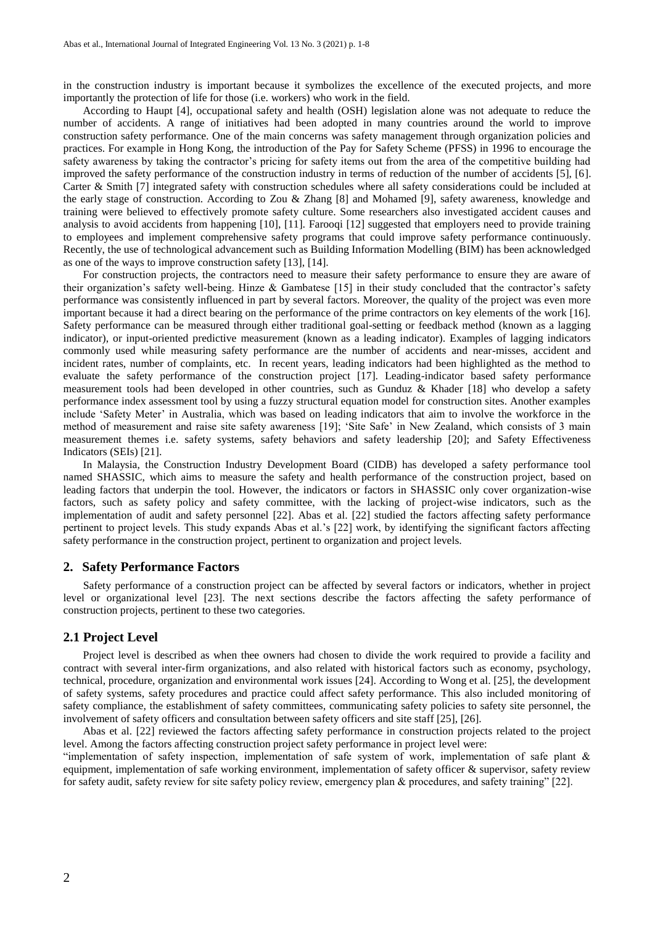in the construction industry is important because it symbolizes the excellence of the executed projects, and more importantly the protection of life for those (i.e. workers) who work in the field.

According to Haupt [4], occupational safety and health (OSH) legislation alone was not adequate to reduce the number of accidents. A range of initiatives had been adopted in many countries around the world to improve construction safety performance. One of the main concerns was safety management through organization policies and practices. For example in Hong Kong, the introduction of the Pay for Safety Scheme (PFSS) in 1996 to encourage the safety awareness by taking the contractor's pricing for safety items out from the area of the competitive building had improved the safety performance of the construction industry in terms of reduction of the number of accidents [5], [6]. Carter & Smith [7] integrated safety with construction schedules where all safety considerations could be included at the early stage of construction. According to Zou & Zhang [8] and Mohamed [9], safety awareness, knowledge and training were believed to effectively promote safety culture. Some researchers also investigated accident causes and analysis to avoid accidents from happening [10], [11]. Farooqi [12] suggested that employers need to provide training to employees and implement comprehensive safety programs that could improve safety performance continuously. Recently, the use of technological advancement such as Building Information Modelling (BIM) has been acknowledged as one of the ways to improve construction safety [13], [14].

For construction projects, the contractors need to measure their safety performance to ensure they are aware of their organization's safety well-being. Hinze & Gambatese [15] in their study concluded that the contractor's safety performance was consistently influenced in part by several factors. Moreover, the quality of the project was even more important because it had a direct bearing on the performance of the prime contractors on key elements of the work [16]. Safety performance can be measured through either traditional goal-setting or feedback method (known as a lagging indicator), or input-oriented predictive measurement (known as a leading indicator). Examples of lagging indicators commonly used while measuring safety performance are the number of accidents and near-misses, accident and incident rates, number of complaints, etc. In recent years, leading indicators had been highlighted as the method to evaluate the safety performance of the construction project [17]. Leading-indicator based safety performance measurement tools had been developed in other countries, such as Gunduz & Khader [18] who develop a safety performance index assessment tool by using a fuzzy structural equation model for construction sites. Another examples include 'Safety Meter' in Australia, which was based on leading indicators that aim to involve the workforce in the method of measurement and raise site safety awareness [19]; 'Site Safe' in New Zealand, which consists of 3 main measurement themes i.e. safety systems, safety behaviors and safety leadership [20]; and Safety Effectiveness Indicators (SEIs) [21].

In Malaysia, the Construction Industry Development Board (CIDB) has developed a safety performance tool named SHASSIC, which aims to measure the safety and health performance of the construction project, based on leading factors that underpin the tool. However, the indicators or factors in SHASSIC only cover organization-wise factors, such as safety policy and safety committee, with the lacking of project-wise indicators, such as the implementation of audit and safety personnel [22]. Abas et al. [22] studied the factors affecting safety performance pertinent to project levels. This study expands Abas et al.'s [22] work, by identifying the significant factors affecting safety performance in the construction project, pertinent to organization and project levels.

#### **2. Safety Performance Factors**

Safety performance of a construction project can be affected by several factors or indicators, whether in project level or organizational level [23]. The next sections describe the factors affecting the safety performance of construction projects, pertinent to these two categories.

#### **2.1 Project Level**

Project level is described as when thee owners had chosen to divide the work required to provide a facility and contract with several inter-firm organizations, and also related with historical factors such as economy, psychology, technical, procedure, organization and environmental work issues [24]. According to Wong et al. [25], the development of safety systems, safety procedures and practice could affect safety performance. This also included monitoring of safety compliance, the establishment of safety committees, communicating safety policies to safety site personnel, the involvement of safety officers and consultation between safety officers and site staff [25], [26].

Abas et al. [22] reviewed the factors affecting safety performance in construction projects related to the project level. Among the factors affecting construction project safety performance in project level were:

"implementation of safety inspection, implementation of safe system of work, implementation of safe plant & equipment, implementation of safe working environment, implementation of safety officer & supervisor, safety review for safety audit, safety review for site safety policy review, emergency plan & procedures, and safety training" [22].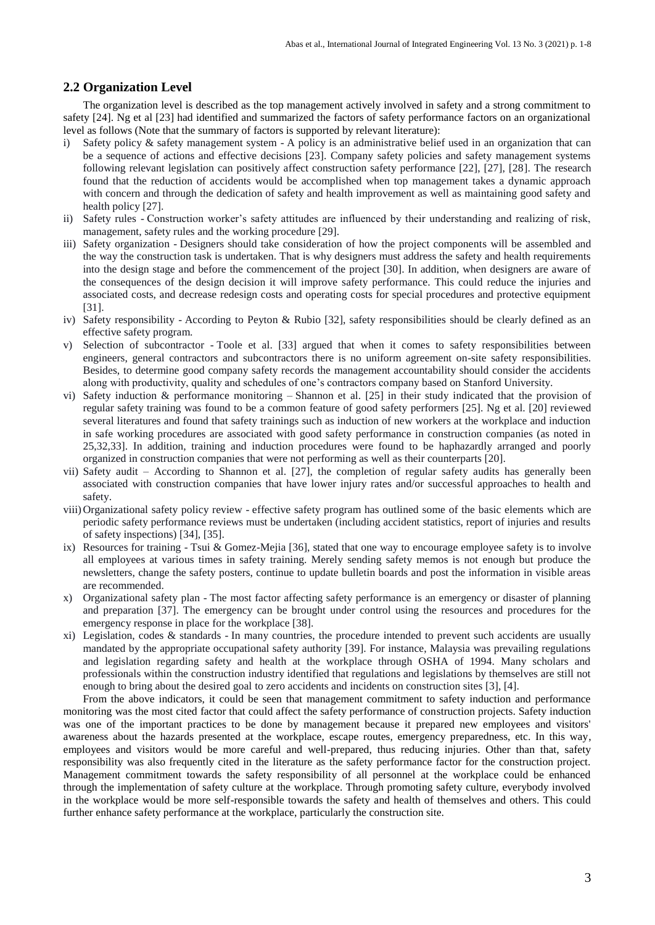## **2.2 Organization Level**

The organization level is described as the top management actively involved in safety and a strong commitment to safety [24]. Ng et al [23] had identified and summarized the factors of safety performance factors on an organizational level as follows (Note that the summary of factors is supported by relevant literature):

- i) Safety policy & safety management system A policy is an administrative belief used in an organization that can be a sequence of actions and effective decisions [23]. Company safety policies and safety management systems following relevant legislation can positively affect construction safety performance [22], [27], [28]. The research found that the reduction of accidents would be accomplished when top management takes a dynamic approach with concern and through the dedication of safety and health improvement as well as maintaining good safety and health policy [27].
- ii) Safety rules Construction worker's safety attitudes are influenced by their understanding and realizing of risk, management, safety rules and the working procedure [29].
- iii) Safety organization Designers should take consideration of how the project components will be assembled and the way the construction task is undertaken. That is why designers must address the safety and health requirements into the design stage and before the commencement of the project [30]. In addition, when designers are aware of the consequences of the design decision it will improve safety performance. This could reduce the injuries and associated costs, and decrease redesign costs and operating costs for special procedures and protective equipment [31].
- iv) Safety responsibility According to Peyton & Rubio [32], safety responsibilities should be clearly defined as an effective safety program.
- v) Selection of subcontractor Toole et al. [33] argued that when it comes to safety responsibilities between engineers, general contractors and subcontractors there is no uniform agreement on-site safety responsibilities. Besides, to determine good company safety records the management accountability should consider the accidents along with productivity, quality and schedules of one's contractors company based on Stanford University.
- vi) Safety induction & performance monitoring Shannon et al. [25] in their study indicated that the provision of regular safety training was found to be a common feature of good safety performers [25]. Ng et al. [20] reviewed several literatures and found that safety trainings such as induction of new workers at the workplace and induction in safe working procedures are associated with good safety performance in construction companies (as noted in 25,32,33]. In addition, training and induction procedures were found to be haphazardly arranged and poorly organized in construction companies that were not performing as well as their counterparts [20].
- vii) Safety audit According to Shannon et al. [27], the completion of regular safety audits has generally been associated with construction companies that have lower injury rates and/or successful approaches to health and safety.
- viii)Organizational safety policy review effective safety program has outlined some of the basic elements which are periodic safety performance reviews must be undertaken (including accident statistics, report of injuries and results of safety inspections) [34], [35].
- ix) Resources for training Tsui & Gomez-Mejia  $[36]$ , stated that one way to encourage employee safety is to involve all employees at various times in safety training. Merely sending safety memos is not enough but produce the newsletters, change the safety posters, continue to update bulletin boards and post the information in visible areas are recommended.
- x) Organizational safety plan The most factor affecting safety performance is an emergency or disaster of planning and preparation [37]. The emergency can be brought under control using the resources and procedures for the emergency response in place for the workplace [38].
- xi) Legislation, codes & standards In many countries, the procedure intended to prevent such accidents are usually mandated by the appropriate occupational safety authority [39]. For instance, Malaysia was prevailing regulations and legislation regarding safety and health at the workplace through OSHA of 1994. Many scholars and professionals within the construction industry identified that regulations and legislations by themselves are still not enough to bring about the desired goal to zero accidents and incidents on construction sites [3], [4].

From the above indicators, it could be seen that management commitment to safety induction and performance monitoring was the most cited factor that could affect the safety performance of construction projects. Safety induction was one of the important practices to be done by management because it prepared new employees and visitors' awareness about the hazards presented at the workplace, escape routes, emergency preparedness, etc. In this way, employees and visitors would be more careful and well-prepared, thus reducing injuries. Other than that, safety responsibility was also frequently cited in the literature as the safety performance factor for the construction project. Management commitment towards the safety responsibility of all personnel at the workplace could be enhanced through the implementation of safety culture at the workplace. Through promoting safety culture, everybody involved in the workplace would be more self-responsible towards the safety and health of themselves and others. This could further enhance safety performance at the workplace, particularly the construction site.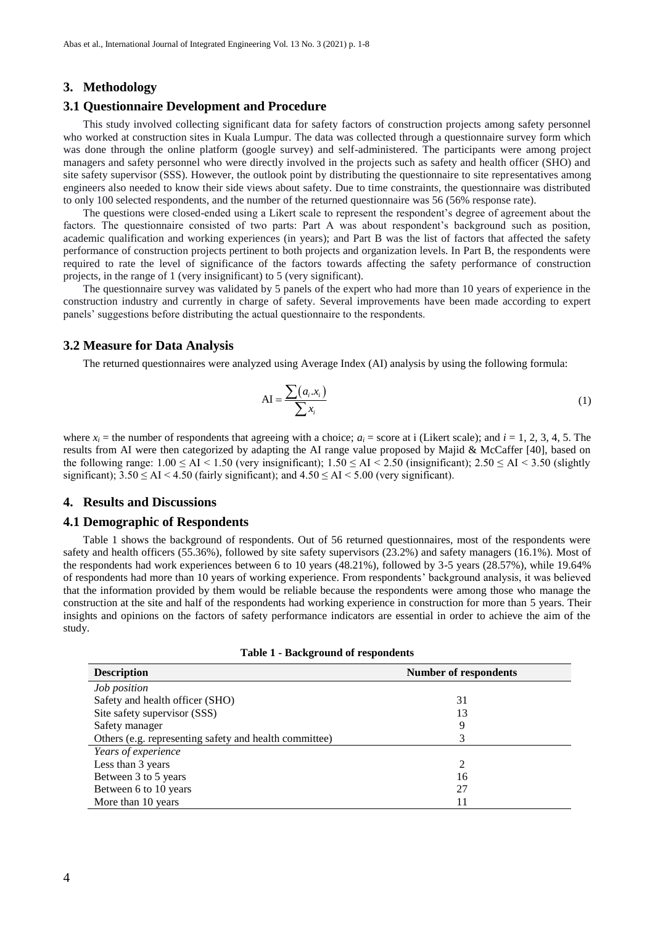#### **3. Methodology**

#### **3.1 Questionnaire Development and Procedure**

This study involved collecting significant data for safety factors of construction projects among safety personnel who worked at construction sites in Kuala Lumpur. The data was collected through a questionnaire survey form which was done through the online platform (google survey) and self-administered. The participants were among project managers and safety personnel who were directly involved in the projects such as safety and health officer (SHO) and site safety supervisor (SSS). However, the outlook point by distributing the questionnaire to site representatives among engineers also needed to know their side views about safety. Due to time constraints, the questionnaire was distributed to only 100 selected respondents, and the number of the returned questionnaire was 56 (56% response rate).

The questions were closed-ended using a Likert scale to represent the respondent's degree of agreement about the factors. The questionnaire consisted of two parts: Part A was about respondent's background such as position, academic qualification and working experiences (in years); and Part B was the list of factors that affected the safety performance of construction projects pertinent to both projects and organization levels. In Part B, the respondents were required to rate the level of significance of the factors towards affecting the safety performance of construction projects, in the range of 1 (very insignificant) to 5 (very significant).

The questionnaire survey was validated by 5 panels of the expert who had more than 10 years of experience in the construction industry and currently in charge of safety. Several improvements have been made according to expert panels' suggestions before distributing the actual questionnaire to the respondents.

#### **3.2 Measure for Data Analysis**

The returned questionnaires were analyzed using Average Index (AI) analysis by using the following formula:

$$
AI = \frac{\sum (a_i.x_i)}{\sum x_i}
$$
 (1)

where  $x_i$  = the number of respondents that agreeing with a choice;  $a_i$  = score at i (Likert scale); and  $i = 1, 2, 3, 4, 5$ . The results from AI were then categorized by adapting the AI range value proposed by Majid & McCaffer [40], based on the following range:  $1.00 \leq AI < 1.50$  (very insignificant);  $1.50 \leq AI < 2.50$  (insignificant);  $2.50 \leq AI < 3.50$  (slightly significant);  $3.50 \leq AI \leq 4.50$  (fairly significant); and  $4.50 \leq AI \leq 5.00$  (very significant).

#### **4. Results and Discussions**

#### **4.1 Demographic of Respondents**

Table 1 shows the background of respondents. Out of 56 returned questionnaires, most of the respondents were safety and health officers (55.36%), followed by site safety supervisors (23.2%) and safety managers (16.1%). Most of the respondents had work experiences between 6 to 10 years (48.21%), followed by 3-5 years (28.57%), while 19.64% of respondents had more than 10 years of working experience. From respondents' background analysis, it was believed that the information provided by them would be reliable because the respondents were among those who manage the construction at the site and half of the respondents had working experience in construction for more than 5 years. Their insights and opinions on the factors of safety performance indicators are essential in order to achieve the aim of the study.

| <b>Description</b>                                     | <b>Number of respondents</b> |  |  |
|--------------------------------------------------------|------------------------------|--|--|
| Job position                                           |                              |  |  |
| Safety and health officer (SHO)                        | 31                           |  |  |
| Site safety supervisor (SSS)                           | 13                           |  |  |
| Safety manager                                         | 9                            |  |  |
| Others (e.g. representing safety and health committee) | 3                            |  |  |
| Years of experience                                    |                              |  |  |
| Less than 3 years                                      | 2                            |  |  |
| Between 3 to 5 years                                   | 16                           |  |  |
| Between 6 to 10 years                                  | 27                           |  |  |
| More than 10 years                                     |                              |  |  |

| <b>Table 1 - Background of respondents</b> |  |  |  |
|--------------------------------------------|--|--|--|
|--------------------------------------------|--|--|--|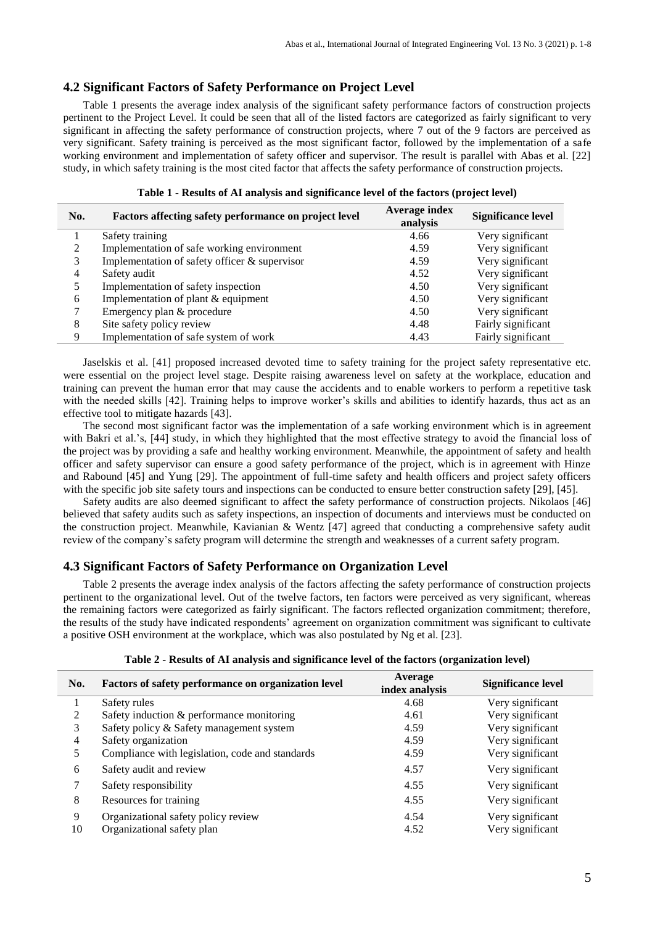## **4.2 Significant Factors of Safety Performance on Project Level**

Table 1 presents the average index analysis of the significant safety performance factors of construction projects pertinent to the Project Level. It could be seen that all of the listed factors are categorized as fairly significant to very significant in affecting the safety performance of construction projects, where 7 out of the 9 factors are perceived as very significant. Safety training is perceived as the most significant factor, followed by the implementation of a safe working environment and implementation of safety officer and supervisor. The result is parallel with Abas et al. [22] study, in which safety training is the most cited factor that affects the safety performance of construction projects.

| No. | Factors affecting safety performance on project level | Average index<br>analysis | <b>Significance level</b> |
|-----|-------------------------------------------------------|---------------------------|---------------------------|
|     | Safety training                                       | 4.66                      | Very significant          |
|     | Implementation of safe working environment            | 4.59                      | Very significant          |
|     | Implementation of safety officer & supervisor         | 4.59                      | Very significant          |
| 4   | Safety audit                                          | 4.52                      | Very significant          |
|     | Implementation of safety inspection                   | 4.50                      | Very significant          |
| 6   | Implementation of plant & equipment                   | 4.50                      | Very significant          |
|     | Emergency plan & procedure                            | 4.50                      | Very significant          |
| 8   | Site safety policy review                             | 4.48                      | Fairly significant        |
| 9   | Implementation of safe system of work                 | 4.43                      | Fairly significant        |

| Table 1 - Results of AI analysis and significance level of the factors (project level) |  |  |  |  |  |
|----------------------------------------------------------------------------------------|--|--|--|--|--|
|----------------------------------------------------------------------------------------|--|--|--|--|--|

Jaselskis et al. [41] proposed increased devoted time to safety training for the project safety representative etc. were essential on the project level stage. Despite raising awareness level on safety at the workplace, education and training can prevent the human error that may cause the accidents and to enable workers to perform a repetitive task with the needed skills [42]. Training helps to improve worker's skills and abilities to identify hazards, thus act as an effective tool to mitigate hazards [43].

The second most significant factor was the implementation of a safe working environment which is in agreement with Bakri et al.'s, [44] study, in which they highlighted that the most effective strategy to avoid the financial loss of the project was by providing a safe and healthy working environment. Meanwhile, the appointment of safety and health officer and safety supervisor can ensure a good safety performance of the project, which is in agreement with Hinze and Rabound [45] and Yung [29]. The appointment of full-time safety and health officers and project safety officers with the specific job site safety tours and inspections can be conducted to ensure better construction safety [29], [45].

Safety audits are also deemed significant to affect the safety performance of construction projects. Nikolaos [46] believed that safety audits such as safety inspections, an inspection of documents and interviews must be conducted on the construction project. Meanwhile, Kavianian & Wentz [47] agreed that conducting a comprehensive safety audit review of the company's safety program will determine the strength and weaknesses of a current safety program.

### **4.3 Significant Factors of Safety Performance on Organization Level**

Table 2 presents the average index analysis of the factors affecting the safety performance of construction projects pertinent to the organizational level. Out of the twelve factors, ten factors were perceived as very significant, whereas the remaining factors were categorized as fairly significant. The factors reflected organization commitment; therefore, the results of the study have indicated respondents' agreement on organization commitment was significant to cultivate a positive OSH environment at the workplace, which was also postulated by Ng et al. [23].

| No. | Factors of safety performance on organization level | Average<br>index analysis | <b>Significance level</b> |
|-----|-----------------------------------------------------|---------------------------|---------------------------|
|     | Safety rules                                        | 4.68                      | Very significant          |
| 2   | Safety induction & performance monitoring           | 4.61                      | Very significant          |
| 3   | Safety policy & Safety management system            | 4.59                      | Very significant          |
| 4   | Safety organization                                 | 4.59                      | Very significant          |
| 5   | Compliance with legislation, code and standards     | 4.59                      | Very significant          |
| 6   | Safety audit and review                             | 4.57                      | Very significant          |
|     | Safety responsibility                               | 4.55                      | Very significant          |
| 8   | Resources for training                              | 4.55                      | Very significant          |
| 9   | Organizational safety policy review                 | 4.54                      | Very significant          |
| 10  | Organizational safety plan                          | 4.52                      | Very significant          |

| Table 2 - Results of AI analysis and significance level of the factors (organization level) |  |  |  |
|---------------------------------------------------------------------------------------------|--|--|--|
|---------------------------------------------------------------------------------------------|--|--|--|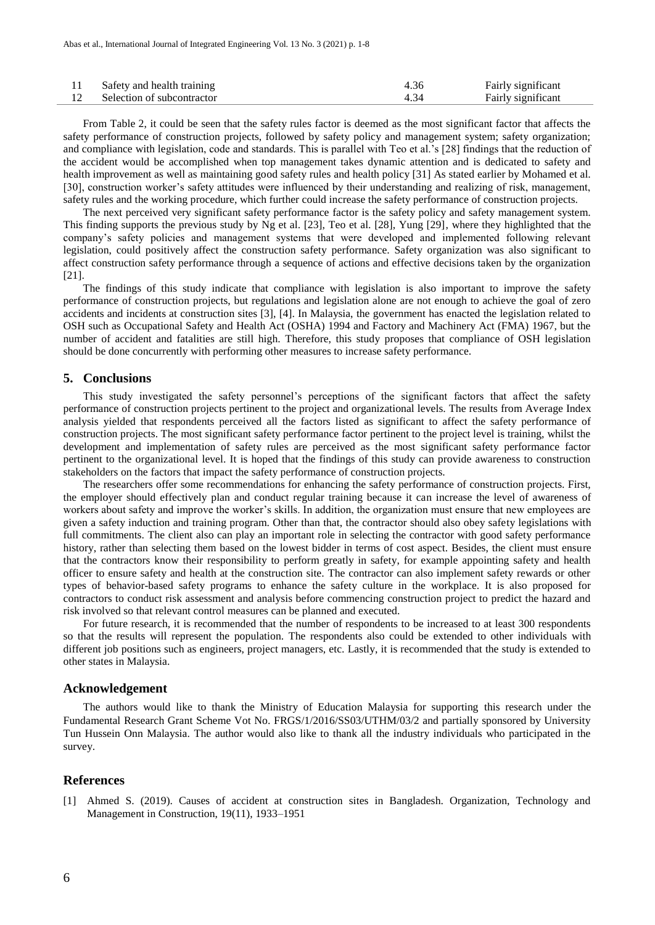| Safety and health training | 4.36 | Fairly significant |
|----------------------------|------|--------------------|
| Selection of subcontractor |      | Fairly significant |

From Table 2, it could be seen that the safety rules factor is deemed as the most significant factor that affects the safety performance of construction projects, followed by safety policy and management system; safety organization; and compliance with legislation, code and standards. This is parallel with Teo et al.'s [28] findings that the reduction of the accident would be accomplished when top management takes dynamic attention and is dedicated to safety and health improvement as well as maintaining good safety rules and health policy [31] As stated earlier by Mohamed et al. [30], construction worker's safety attitudes were influenced by their understanding and realizing of risk, management, safety rules and the working procedure, which further could increase the safety performance of construction projects.

The next perceived very significant safety performance factor is the safety policy and safety management system. This finding supports the previous study by Ng et al. [23], Teo et al. [28], Yung [29], where they highlighted that the company's safety policies and management systems that were developed and implemented following relevant legislation, could positively affect the construction safety performance. Safety organization was also significant to affect construction safety performance through a sequence of actions and effective decisions taken by the organization [21].

The findings of this study indicate that compliance with legislation is also important to improve the safety performance of construction projects, but regulations and legislation alone are not enough to achieve the goal of zero accidents and incidents at construction sites [3], [4]. In Malaysia, the government has enacted the legislation related to OSH such as Occupational Safety and Health Act (OSHA) 1994 and Factory and Machinery Act (FMA) 1967, but the number of accident and fatalities are still high. Therefore, this study proposes that compliance of OSH legislation should be done concurrently with performing other measures to increase safety performance.

#### **5. Conclusions**

This study investigated the safety personnel's perceptions of the significant factors that affect the safety performance of construction projects pertinent to the project and organizational levels. The results from Average Index analysis yielded that respondents perceived all the factors listed as significant to affect the safety performance of construction projects. The most significant safety performance factor pertinent to the project level is training, whilst the development and implementation of safety rules are perceived as the most significant safety performance factor pertinent to the organizational level. It is hoped that the findings of this study can provide awareness to construction stakeholders on the factors that impact the safety performance of construction projects.

The researchers offer some recommendations for enhancing the safety performance of construction projects. First, the employer should effectively plan and conduct regular training because it can increase the level of awareness of workers about safety and improve the worker's skills. In addition, the organization must ensure that new employees are given a safety induction and training program. Other than that, the contractor should also obey safety legislations with full commitments. The client also can play an important role in selecting the contractor with good safety performance history, rather than selecting them based on the lowest bidder in terms of cost aspect. Besides, the client must ensure that the contractors know their responsibility to perform greatly in safety, for example appointing safety and health officer to ensure safety and health at the construction site. The contractor can also implement safety rewards or other types of behavior-based safety programs to enhance the safety culture in the workplace. It is also proposed for contractors to conduct risk assessment and analysis before commencing construction project to predict the hazard and risk involved so that relevant control measures can be planned and executed.

For future research, it is recommended that the number of respondents to be increased to at least 300 respondents so that the results will represent the population. The respondents also could be extended to other individuals with different job positions such as engineers, project managers, etc. Lastly, it is recommended that the study is extended to other states in Malaysia.

#### **Acknowledgement**

The authors would like to thank the Ministry of Education Malaysia for supporting this research under the Fundamental Research Grant Scheme Vot No. FRGS/1/2016/SS03/UTHM/03/2 and partially sponsored by University Tun Hussein Onn Malaysia. The author would also like to thank all the industry individuals who participated in the survey.

#### **References**

[1] Ahmed S. (2019). Causes of accident at construction sites in Bangladesh. Organization, Technology and Management in Construction, 19(11), 1933–1951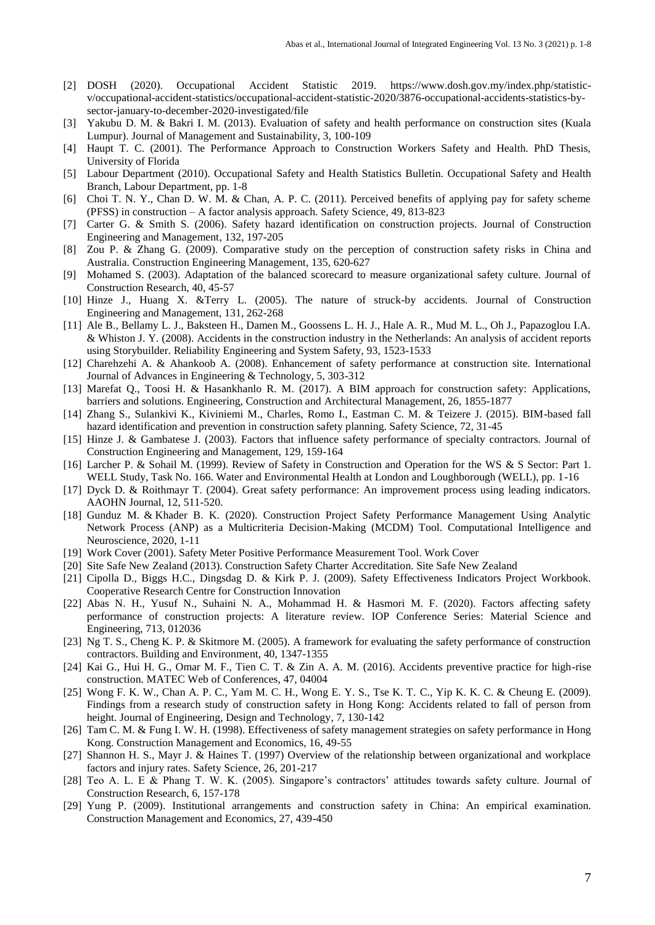- [2] DOSH (2020). Occupational Accident Statistic 2019. https://www.dosh.gov.my/index.php/statisticv/occupational-accident-statistics/occupational-accident-statistic-2020/3876-occupational-accidents-statistics-bysector-january-to-december-2020-investigated/file
- [3] Yakubu D. M. & Bakri I. M. (2013). Evaluation of safety and health performance on construction sites (Kuala Lumpur). Journal of Management and Sustainability, 3, 100-109
- [4] Haupt T. C. (2001). The Performance Approach to Construction Workers Safety and Health. PhD Thesis, University of Florida
- [5] Labour Department (2010). Occupational Safety and Health Statistics Bulletin. Occupational Safety and Health Branch, Labour Department, pp. 1-8
- [6] Choi T. N. Y., Chan D. W. M. & Chan, A. P. C. (2011). Perceived benefits of applying pay for safety scheme (PFSS) in construction – A factor analysis approach. Safety Science, 49, 813-823
- [7] Carter G. & Smith S. (2006). Safety hazard identification on construction projects. Journal of Construction Engineering and Management, 132, 197-205
- [8] Zou P. & Zhang G. (2009). Comparative study on the perception of construction safety risks in China and Australia. Construction Engineering Management, 135, 620-627
- [9] Mohamed S. (2003). Adaptation of the balanced scorecard to measure organizational safety culture. Journal of Construction Research, 40, 45-57
- [10] Hinze J., Huang X. &Terry L. (2005). The nature of struck-by accidents. Journal of Construction Engineering and Management, 131, 262-268
- [11] Ale B., Bellamy L. J., Baksteen H., Damen M., Goossens L. H. J., Hale A. R., Mud M. L., Oh J., Papazoglou I.A. & Whiston J. Y. (2008). Accidents in the construction industry in the Netherlands: An analysis of accident reports using Storybuilder. Reliability Engineering and System Safety, 93, 1523-1533
- [12] Charehzehi A. & Ahankoob A. (2008). Enhancement of safety performance at construction site. International Journal of Advances in Engineering & Technology, 5, 303-312
- [13] Marefat Q., Toosi H. & Hasankhanlo R. M. (2017). A BIM approach for construction safety: Applications, barriers and solutions. Engineering, Construction and Architectural Management, 26, 1855-1877
- [14] Zhang S., Sulankivi K., Kiviniemi M., Charles, Romo I., Eastman C. M. & Teizere J. (2015). BIM-based fall hazard identification and prevention in construction safety planning. Safety Science, 72, 31-45
- [15] Hinze J. & Gambatese J. (2003). Factors that influence safety performance of specialty contractors. Journal of Construction Engineering and Management, 129, 159-164
- [16] Larcher P. & Sohail M. (1999). Review of Safety in Construction and Operation for the WS & S Sector: Part 1. WELL Study, Task No. 166. Water and Environmental Health at London and Loughborough (WELL), pp. 1-16
- [17] Dyck D. & Roithmayr T. (2004). Great safety performance: An improvement process using leading indicators. AAOHN Journal, 12, 511-520.
- [18] Gunduz M. & Khader B. K. (2020). Construction Project Safety Performance Management Using Analytic Network Process (ANP) as a Multicriteria Decision-Making (MCDM) Tool. [Computational Intelligence and](https://www.hindawi.com/journals/cin/)  [Neuroscience,](https://www.hindawi.com/journals/cin/) 2020, 1-11
- [19] Work Cover (2001). Safety Meter Positive Performance Measurement Tool. Work Cover
- [20] Site Safe New Zealand (2013). Construction Safety Charter Accreditation. Site Safe New Zealand
- [21] Cipolla D., Biggs H.C., Dingsdag D. & Kirk P. J. (2009). Safety Effectiveness Indicators Project Workbook. Cooperative Research Centre for Construction Innovation
- [22] Abas N. H., Yusuf N., Suhaini N. A., Mohammad H. & Hasmori M. F. (2020). Factors affecting safety performance of construction projects: A literature review. IOP Conference Series: Material Science and Engineering, 713, 012036
- [23] Ng T. S., Cheng K. P. & Skitmore M. (2005). A framework for evaluating the safety performance of construction contractors. Building and Environment, 40, 1347-1355
- [24] Kai G., Hui H. G., Omar M. F., Tien C. T. & Zin A. A. M. (2016). Accidents preventive practice for high-rise construction. MATEC Web of Conferences, 47, 04004
- [25] Wong F. K. W., Chan A. P. C., Yam M. C. H., Wong E. Y. S., Tse K. T. C., Yip K. K. C. & Cheung E. (2009). Findings from a research study of construction safety in Hong Kong: Accidents related to fall of person from height. Journal of Engineering, Design and Technology, 7, 130-142
- [26] Tam C. M. & Fung I. W. H. (1998). Effectiveness of safety management strategies on safety performance in Hong Kong. Construction Management and Economics, 16, 49-55
- [27] Shannon H. S., Mayr J. & Haines T. (1997) Overview of the relationship between organizational and workplace factors and injury rates. Safety Science, 26, 201-217
- [28] Teo A. L. E & Phang T. W. K. (2005). Singapore's contractors' attitudes towards safety culture. Journal of Construction Research, 6, 157-178
- [29] Yung P. (2009). Institutional arrangements and construction safety in China: An empirical examination. Construction Management and Economics, 27, 439-450